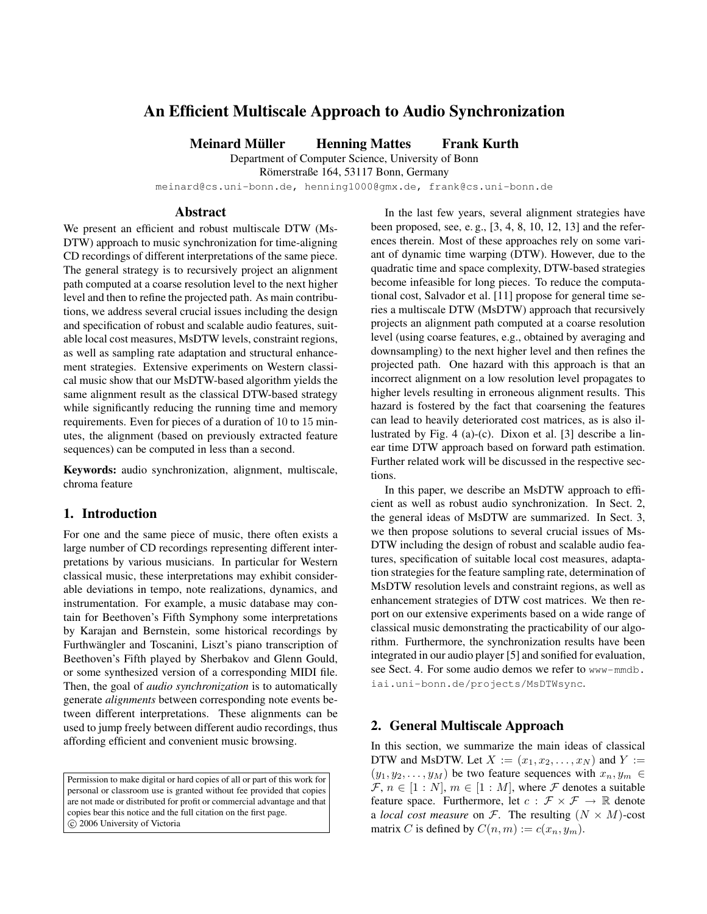# **An Efficient Multiscale Approach to Audio Synchronization**

**Meinard Muller Henning Mattes Frank Kurth ¨**

Department of Computer Science, University of Bonn

Römerstraße 164, 53117 Bonn, Germany

meinard@cs.uni-bonn.de, henning1000@gmx.de, frank@cs.uni-bonn.de

#### **Abstract**

We present an efficient and robust multiscale DTW (Ms-DTW) approach to music synchronization for time-aligning CD recordings of different interpretations of the same piece. The general strategy is to recursively project an alignment path computed at a coarse resolution level to the next higher level and then to refine the projected path. As main contributions, we address several crucial issues including the design and specification of robust and scalable audio features, suitable local cost measures, MsDTW levels, constraint regions, as well as sampling rate adaptation and structural enhancement strategies. Extensive experiments on Western classical music show that our MsDTW-based algorithm yields the same alignment result as the classical DTW-based strategy while significantly reducing the running time and memory requirements. Even for pieces of a duration of 10 to 15 minutes, the alignment (based on previously extracted feature sequences) can be computed in less than a second.

**Keywords:** audio synchronization, alignment, multiscale, chroma feature

### **1. Introduction**

For one and the same piece of music, there often exists a large number of CD recordings representing different interpretations by various musicians. In particular for Western classical music, these interpretations may exhibit considerable deviations in tempo, note realizations, dynamics, and instrumentation. For example, a music database may contain for Beethoven's Fifth Symphony some interpretations by Karajan and Bernstein, some historical recordings by Furthwängler and Toscanini, Liszt's piano transcription of Beethoven's Fifth played by Sherbakov and Glenn Gould, or some synthesized version of a corresponding MIDI file. Then, the goal of *audio synchronization* is to automatically generate *alignments* between corresponding note events between different interpretations. These alignments can be used to jump freely between different audio recordings, thus affording efficient and convenient music browsing.

Permission to make digital or hard copies of all or part of this work for personal or classroom use is granted without fee provided that copies are not made or distributed for profit or commercial advantage and that copies bear this notice and the full citation on the first page. c 2006 University of Victoria

In the last few years, several alignment strategies have been proposed, see, e. g., [3, 4, 8, 10, 12, 13] and the references therein. Most of these approaches rely on some variant of dynamic time warping (DTW). However, due to the quadratic time and space complexity, DTW-based strategies become infeasible for long pieces. To reduce the computational cost, Salvador et al. [11] propose for general time series a multiscale DTW (MsDTW) approach that recursively projects an alignment path computed at a coarse resolution level (using coarse features, e.g., obtained by averaging and downsampling) to the next higher level and then refines the projected path. One hazard with this approach is that an incorrect alignment on a low resolution level propagates to higher levels resulting in erroneous alignment results. This hazard is fostered by the fact that coarsening the features can lead to heavily deteriorated cost matrices, as is also illustrated by Fig. 4 (a)-(c). Dixon et al. [3] describe a linear time DTW approach based on forward path estimation. Further related work will be discussed in the respective sections.

In this paper, we describe an MsDTW approach to efficient as well as robust audio synchronization. In Sect. 2, the general ideas of MsDTW are summarized. In Sect. 3, we then propose solutions to several crucial issues of Ms-DTW including the design of robust and scalable audio features, specification of suitable local cost measures, adaptation strategies for the feature sampling rate, determination of MsDTW resolution levels and constraint regions, as well as enhancement strategies of DTW cost matrices. We then report on our extensive experiments based on a wide range of classical music demonstrating the practicability of our algorithm. Furthermore, the synchronization results have been integrated in our audio player [5] and sonified for evaluation, see Sect. 4. For some audio demos we refer to www-mmdb. iai.uni-bonn.de/projects/MsDTWsync.

### **2. General Multiscale Approach**

In this section, we summarize the main ideas of classical DTW and MsDTW. Let  $X := (x_1, x_2, \dots, x_N)$  and  $Y :=$  $(y_1, y_2, \ldots, y_M)$  be two feature sequences with  $x_n, y_m \in$  $\mathcal{F}, n \in [1:N], m \in [1:M],$  where  $\mathcal F$  denotes a suitable feature space. Furthermore, let  $c : \mathcal{F} \times \mathcal{F} \rightarrow \mathbb{R}$  denote a *local cost measure* on  $F$ . The resulting  $(N \times M)$ -cost matrix C is defined by  $C(n, m) := c(x_n, y_m)$ .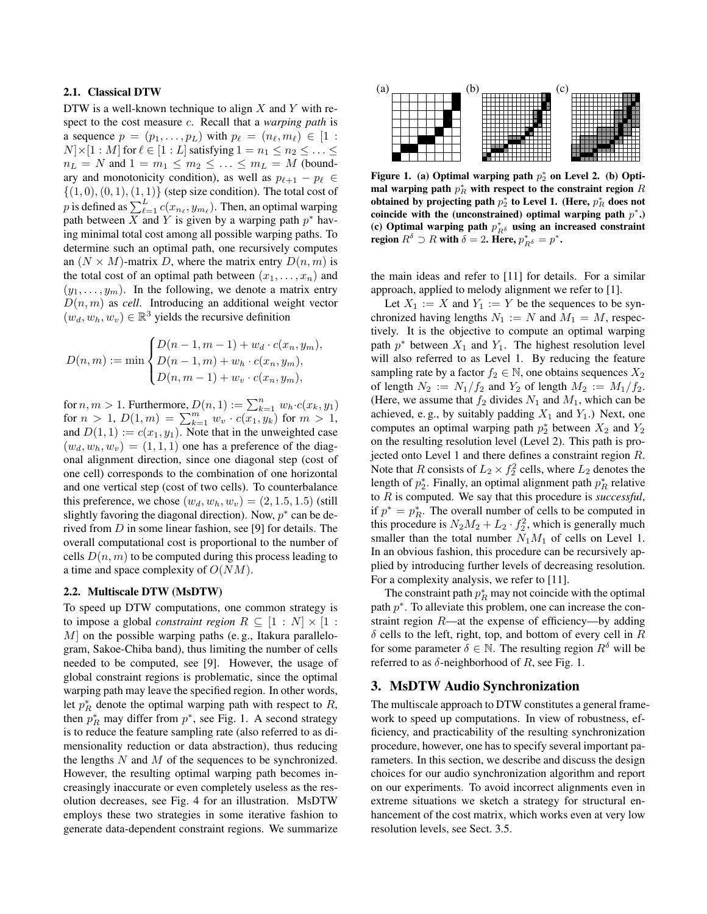### **2.1. Classical DTW**

DTW is a well-known technique to align  $X$  and  $Y$  with respect to the cost measure c. Recall that a *warping path* is a sequence  $p = (p_1, \ldots, p_L)$  with  $p_\ell = (n_\ell, m_\ell) \in [1 :$  $N \times [1 : M]$  for  $\ell \in [1 : L]$  satisfying  $1 = n_1 \leq n_2 \leq \ldots \leq$  $n_L = N$  and  $1 = m_1 \le m_2 \le \ldots \le m_L = M$  (boundary and monotonicity condition), as well as  $p_{\ell+1} - p_{\ell} \in$  $\{(1,0),(0,1),(1,1)\}$  (step size condition). The total cost of p is defined as  $\sum_{\ell=1}^{L} c(x_{n_{\ell}}, y_{m_{\ell}})$ . Then, an optimal warping path between X and Y is given by a warping path  $p^*$  having minimal total cost among all possible warping paths. To determine such an optimal path, one recursively computes an  $(N \times M)$ -matrix D, where the matrix entry  $D(n, m)$  is the total cost of an optimal path between  $(x_1, \ldots, x_n)$  and  $(y_1, \ldots, y_m)$ . In the following, we denote a matrix entry  $D(n, m)$  as *cell*. Introducing an additional weight vector  $(w_d, w_h, w_v) \in \mathbb{R}^3$  yields the recursive definition

$$
D(n, m) := \min \begin{cases} D(n - 1, m - 1) + w_d \cdot c(x_n, y_m), \\ D(n - 1, m) + w_h \cdot c(x_n, y_m), \\ D(n, m - 1) + w_v \cdot c(x_n, y_m), \end{cases}
$$

for  $n, m > 1$ . Furthermore,  $D(n, 1) := \sum_{k=1}^{n} w_h \cdot c(x_k, y_1)$ for  $n > 1$ ,  $D(1, m) = \sum_{k=1}^{m} w_k \cdot c(x_1, y_k)$  for  $m > 1$ , and  $D(1, 1) := c(x_1, y_1)$ . Note that in the unweighted case  $(w_d, w_h, w_v) = (1, 1, 1)$  one has a preference of the diagonal alignment direction, since one diagonal step (cost of one cell) corresponds to the combination of one horizontal and one vertical step (cost of two cells). To counterbalance this preference, we chose  $(w_d, w_h, w_v) = (2, 1.5, 1.5)$  (still slightly favoring the diagonal direction). Now,  $p^*$  can be derived from  $D$  in some linear fashion, see [9] for details. The overall computational cost is proportional to the number of cells  $D(n, m)$  to be computed during this process leading to a time and space complexity of  $O(NM)$ .

#### **2.2. Multiscale DTW (MsDTW)**

To speed up DTW computations, one common strategy is to impose a global *constraint region*  $R \subseteq [1 : N] \times [1 :$  $M$  on the possible warping paths (e.g., Itakura parallelogram, Sakoe-Chiba band), thus limiting the number of cells needed to be computed, see [9]. However, the usage of global constraint regions is problematic, since the optimal warping path may leave the specified region. In other words, let  $p_R^*$  denote the optimal warping path with respect to R, then  $p_R^*$  may differ from  $p^*$ , see Fig. 1. A second strategy is to reduce the feature sampling rate (also referred to as dimensionality reduction or data abstraction), thus reducing the lengths  $N$  and  $M$  of the sequences to be synchronized. However, the resulting optimal warping path becomes increasingly inaccurate or even completely useless as the resolution decreases, see Fig. 4 for an illustration. MsDTW employs these two strategies in some iterative fashion to generate data-dependent constraint regions. We summarize



Figure 1. (a) Optimal warping path  $p_2^*$  on Level 2. (b) Opti**mal warping path**  $p_R^*$  with respect to the constraint region R obtained by projecting path  $p_2^*$  to Level 1. (Here,  $p_R^*$  does not **coincide with the (unconstrained) optimal warping path**  $p^*$ **.)** (c) Optimal warping path  $p_{R\delta}^*$  using an increased constraint **region**  $R^{\delta} \supset R$  with  $\delta = 2$ **. Here,**  $p_{R^{\delta}}^* = p^*$ **.** 

the main ideas and refer to [11] for details. For a similar approach, applied to melody alignment we refer to [1].

Let  $X_1 := X$  and  $Y_1 := Y$  be the sequences to be synchronized having lengths  $N_1 := N$  and  $M_1 = M$ , respectively. It is the objective to compute an optimal warping path  $p^*$  between  $X_1$  and  $Y_1$ . The highest resolution level will also referred to as Level 1. By reducing the feature sampling rate by a factor  $f_2 \in \mathbb{N}$ , one obtains sequences  $X_2$ of length  $N_2 := N_1/f_2$  and  $Y_2$  of length  $M_2 := M_1/f_2$ . (Here, we assume that  $f_2$  divides  $N_1$  and  $M_1$ , which can be achieved, e.g., by suitably padding  $X_1$  and  $Y_1$ .) Next, one computes an optimal warping path  $p_2^*$  between  $X_2$  and  $Y_2$ on the resulting resolution level (Level 2). This path is projected onto Level 1 and there defines a constraint region R. Note that R consists of  $L_2 \times f_2^2$  cells, where  $L_2$  denotes the length of  $p_2^*$ . Finally, an optimal alignment path  $p_R^*$  relative to R is computed. We say that this procedure is *successful*, if  $p^* = p_R^*$ . The overall number of cells to be computed in this procedure is  $N_2M_2 + L_2 \cdot f_2^2$ , which is generally much smaller than the total number  $N_1M_1$  of cells on Level 1. In an obvious fashion, this procedure can be recursively applied by introducing further levels of decreasing resolution. For a complexity analysis, we refer to [11].

The constraint path  $p_R^*$  may not coincide with the optimal path  $p^*$ . To alleviate this problem, one can increase the constraint region R—at the expense of efficiency—by adding  $\delta$  cells to the left, right, top, and bottom of every cell in R for some parameter  $\delta \in \mathbb{N}$ . The resulting region  $R^{\delta}$  will be referred to as  $\delta$ -neighborhood of R, see Fig. 1.

# **3. MsDTW Audio Synchronization**

The multiscale approach to DTW constitutes a general framework to speed up computations. In view of robustness, efficiency, and practicability of the resulting synchronization procedure, however, one has to specify several important parameters. In this section, we describe and discuss the design choices for our audio synchronization algorithm and report on our experiments. To avoid incorrect alignments even in extreme situations we sketch a strategy for structural enhancement of the cost matrix, which works even at very low resolution levels, see Sect. 3.5.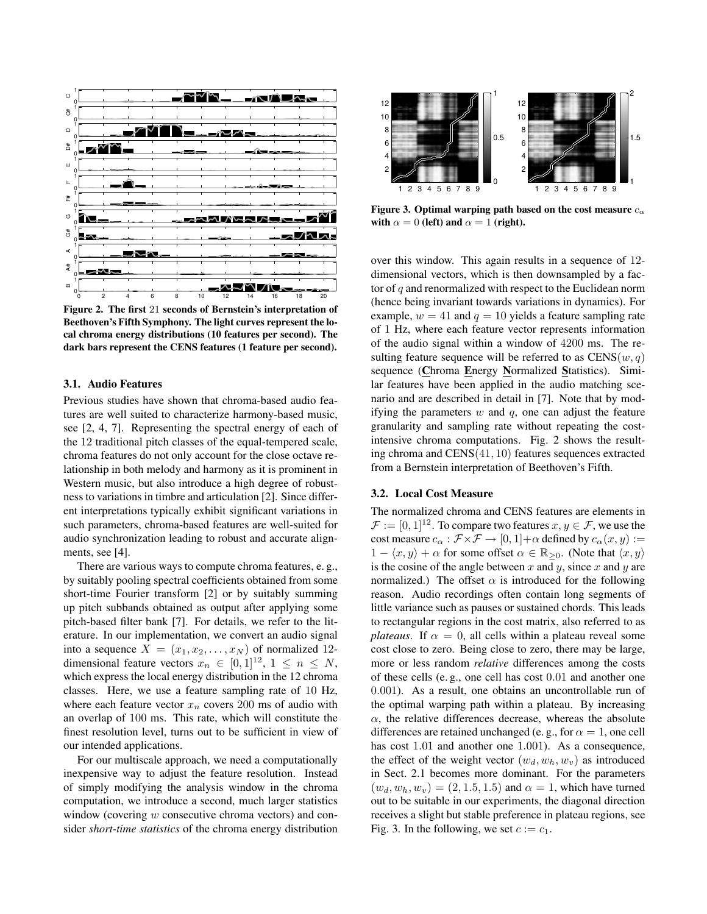

**Figure 2. The first** 21 **seconds of Bernstein's interpretation of Beethoven's Fifth Symphony. The light curves represent the local chroma energy distributions (10 features per second). The dark bars represent the CENS features (1 feature per second).**

#### **3.1. Audio Features**

Previous studies have shown that chroma-based audio features are well suited to characterize harmony-based music, see [2, 4, 7]. Representing the spectral energy of each of the 12 traditional pitch classes of the equal-tempered scale, chroma features do not only account for the close octave relationship in both melody and harmony as it is prominent in Western music, but also introduce a high degree of robustness to variations in timbre and articulation [2]. Since different interpretations typically exhibit significant variations in such parameters, chroma-based features are well-suited for audio synchronization leading to robust and accurate alignments, see [4].

There are various ways to compute chroma features, e. g., by suitably pooling spectral coefficients obtained from some short-time Fourier transform [2] or by suitably summing up pitch subbands obtained as output after applying some pitch-based filter bank [7]. For details, we refer to the literature. In our implementation, we convert an audio signal into a sequence  $X = (x_1, x_2, \dots, x_N)$  of normalized 12dimensional feature vectors  $x_n \in [0, 1]^{12}$ ,  $1 \le n \le N$ , which express the local energy distribution in the 12 chroma classes. Here, we use a feature sampling rate of 10 Hz, where each feature vector  $x_n$  covers 200 ms of audio with an overlap of 100 ms. This rate, which will constitute the finest resolution level, turns out to be sufficient in view of our intended applications.

For our multiscale approach, we need a computationally inexpensive way to adjust the feature resolution. Instead of simply modifying the analysis window in the chroma computation, we introduce a second, much larger statistics window (covering w consecutive chroma vectors) and consider *short-time statistics* of the chroma energy distribution



**Figure 3. Optimal warping path based on the cost measure**  $c_{\alpha}$ **with**  $\alpha = 0$  **(left)** and  $\alpha = 1$  **(right).** 

over this window. This again results in a sequence of 12 dimensional vectors, which is then downsampled by a factor of q and renormalized with respect to the Euclidean norm (hence being invariant towards variations in dynamics). For example,  $w = 41$  and  $q = 10$  yields a feature sampling rate of 1 Hz, where each feature vector represents information of the audio signal within a window of 4200 ms. The resulting feature sequence will be referred to as  $CENS(w, q)$ sequence (**C**hroma **E**nergy **N**ormalized **S**tatistics). Similar features have been applied in the audio matching scenario and are described in detail in [7]. Note that by modifying the parameters  $w$  and  $q$ , one can adjust the feature granularity and sampling rate without repeating the costintensive chroma computations. Fig. 2 shows the resulting chroma and CENS(41, 10) features sequences extracted from a Bernstein interpretation of Beethoven's Fifth.

#### **3.2. Local Cost Measure**

The normalized chroma and CENS features are elements in  $\mathcal{F} := [0, 1]^{12}$ . To compare two features  $x, y \in \mathcal{F}$ , we use the cost measure  $c_{\alpha} : \mathcal{F} \times \mathcal{F} \to [0, 1] + \alpha$  defined by  $c_{\alpha}(x, y) :=$  $1 - \langle x, y \rangle + \alpha$  for some offset  $\alpha \in \mathbb{R}_{\geq 0}$ . (Note that  $\langle x, y \rangle$ is the cosine of the angle between  $x$  and  $y$ , since  $x$  and  $y$  are normalized.) The offset  $\alpha$  is introduced for the following reason. Audio recordings often contain long segments of little variance such as pauses or sustained chords. This leads to rectangular regions in the cost matrix, also referred to as *plateaus*. If  $\alpha = 0$ , all cells within a plateau reveal some cost close to zero. Being close to zero, there may be large, more or less random *relative* differences among the costs of these cells (e. g., one cell has cost 0.01 and another one 0.001). As a result, one obtains an uncontrollable run of the optimal warping path within a plateau. By increasing  $\alpha$ , the relative differences decrease, whereas the absolute differences are retained unchanged (e.g., for  $\alpha = 1$ , one cell has cost 1.01 and another one 1.001). As a consequence, the effect of the weight vector  $(w_d, w_h, w_v)$  as introduced in Sect. 2.1 becomes more dominant. For the parameters  $(w_d, w_h, w_v) = (2, 1.5, 1.5)$  and  $\alpha = 1$ , which have turned out to be suitable in our experiments, the diagonal direction receives a slight but stable preference in plateau regions, see Fig. 3. In the following, we set  $c := c_1$ .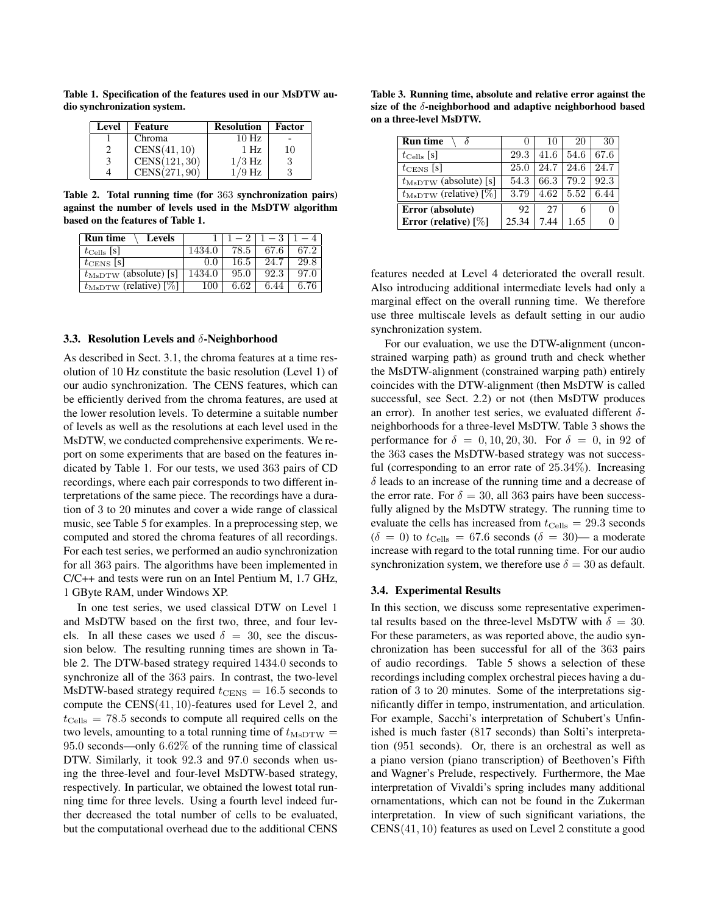**Table 1. Specification of the features used in our MsDTW audio synchronization system.**

| Level | Feature       | <b>Resolution</b> | Factor |
|-------|---------------|-------------------|--------|
|       | Chroma        | 10 Hz             |        |
|       | CENS(41, 10)  | 1Hz               | 10     |
| 3     | CENS(121, 30) | $1/3$ Hz          |        |
|       | CENS(271, 90) | /9 Hz             |        |

**Table 2. Total running time (for** 363 **synchronization pairs) against the number of levels used in the MsDTW algorithm based on the features of Table 1.**

| <b>Run time</b><br><b>Levels</b>  |        |      |      |      |
|-----------------------------------|--------|------|------|------|
| $t_{\rm Cells}$ [s]               | 1434.0 | 78.5 |      | 67 2 |
| $t_{\text{CENS}}$  s              | 0.0    | 16.5 | 24.7 | 29.8 |
| $t_{\text{MsDTW}}$ (absolute) [s] | 1434.0 | 95.0 | 92.3 | 97 O |
| $t_{\text{MsDTW}}$ (relative) [%] | 100    | 6.62 | 6.44 |      |

#### **3.3. Resolution Levels and** δ**-Neighborhood**

As described in Sect. 3.1, the chroma features at a time resolution of 10 Hz constitute the basic resolution (Level 1) of our audio synchronization. The CENS features, which can be efficiently derived from the chroma features, are used at the lower resolution levels. To determine a suitable number of levels as well as the resolutions at each level used in the MsDTW, we conducted comprehensive experiments. We report on some experiments that are based on the features indicated by Table 1. For our tests, we used 363 pairs of CD recordings, where each pair corresponds to two different interpretations of the same piece. The recordings have a duration of 3 to 20 minutes and cover a wide range of classical music, see Table 5 for examples. In a preprocessing step, we computed and stored the chroma features of all recordings. For each test series, we performed an audio synchronization for all 363 pairs. The algorithms have been implemented in C/C++ and tests were run on an Intel Pentium M, 1.7 GHz, 1 GByte RAM, under Windows XP.

In one test series, we used classical DTW on Level 1 and MsDTW based on the first two, three, and four levels. In all these cases we used  $\delta = 30$ , see the discussion below. The resulting running times are shown in Table 2. The DTW-based strategy required 1434.0 seconds to synchronize all of the 363 pairs. In contrast, the two-level MsDTW-based strategy required  $t_{\text{CENS}} = 16.5$  seconds to compute the CENS(41, 10)-features used for Level 2, and  $t_{\text{Cells}} = 78.5$  seconds to compute all required cells on the two levels, amounting to a total running time of  $t_{\text{MsDTW}} =$ 95.0 seconds—only 6.62% of the running time of classical DTW. Similarly, it took 92.3 and 97.0 seconds when using the three-level and four-level MsDTW-based strategy, respectively. In particular, we obtained the lowest total running time for three levels. Using a fourth level indeed further decreased the total number of cells to be evaluated, but the computational overhead due to the additional CENS

**Table 3. Running time, absolute and relative error against the size of the** δ**-neighborhood and adaptive neighborhood based on a three-level MsDTW.**

| <b>Run time</b>                   |       | 10   | 20   | 30   |
|-----------------------------------|-------|------|------|------|
| $t_{\rm Cells}$ [s]               | 29.3  | 41.6 | 54.6 | 67.6 |
| $t_{\text{CENS}}$ [s]             | 25.0  | 24.7 | 24.6 | 24.7 |
| $t_{\text{MsDTW}}$ (absolute) [s] | 54.3  | 66.3 | 79.2 | 92.3 |
| $t_{\text{MsDTW}}$ (relative) [%] | 3.79  | 4.62 | 5.52 | 6.44 |
| Error (absolute)                  | 92    | 27   |      |      |
| Error (relative) $[\%]$           | 25.34 | 7.44 | 1.65 |      |

features needed at Level 4 deteriorated the overall result. Also introducing additional intermediate levels had only a marginal effect on the overall running time. We therefore use three multiscale levels as default setting in our audio synchronization system.

For our evaluation, we use the DTW-alignment (unconstrained warping path) as ground truth and check whether the MsDTW-alignment (constrained warping path) entirely coincides with the DTW-alignment (then MsDTW is called successful, see Sect. 2.2) or not (then MsDTW produces an error). In another test series, we evaluated different  $\delta$ neighborhoods for a three-level MsDTW. Table 3 shows the performance for  $\delta = 0, 10, 20, 30$ . For  $\delta = 0$ , in 92 of the 363 cases the MsDTW-based strategy was not successful (corresponding to an error rate of 25.34%). Increasing  $\delta$  leads to an increase of the running time and a decrease of the error rate. For  $\delta = 30$ , all 363 pairs have been successfully aligned by the MsDTW strategy. The running time to evaluate the cells has increased from  $t_{\text{Cells}} = 29.3$  seconds  $(\delta = 0)$  to  $t_{\text{Cells}} = 67.6$  seconds  $(\delta = 30)$ — a moderate increase with regard to the total running time. For our audio synchronization system, we therefore use  $\delta = 30$  as default.

#### **3.4. Experimental Results**

In this section, we discuss some representative experimental results based on the three-level MsDTW with  $\delta = 30$ . For these parameters, as was reported above, the audio synchronization has been successful for all of the 363 pairs of audio recordings. Table 5 shows a selection of these recordings including complex orchestral pieces having a duration of 3 to 20 minutes. Some of the interpretations significantly differ in tempo, instrumentation, and articulation. For example, Sacchi's interpretation of Schubert's Unfinished is much faster (817 seconds) than Solti's interpretation (951 seconds). Or, there is an orchestral as well as a piano version (piano transcription) of Beethoven's Fifth and Wagner's Prelude, respectively. Furthermore, the Mae interpretation of Vivaldi's spring includes many additional ornamentations, which can not be found in the Zukerman interpretation. In view of such significant variations, the CENS(41, 10) features as used on Level 2 constitute a good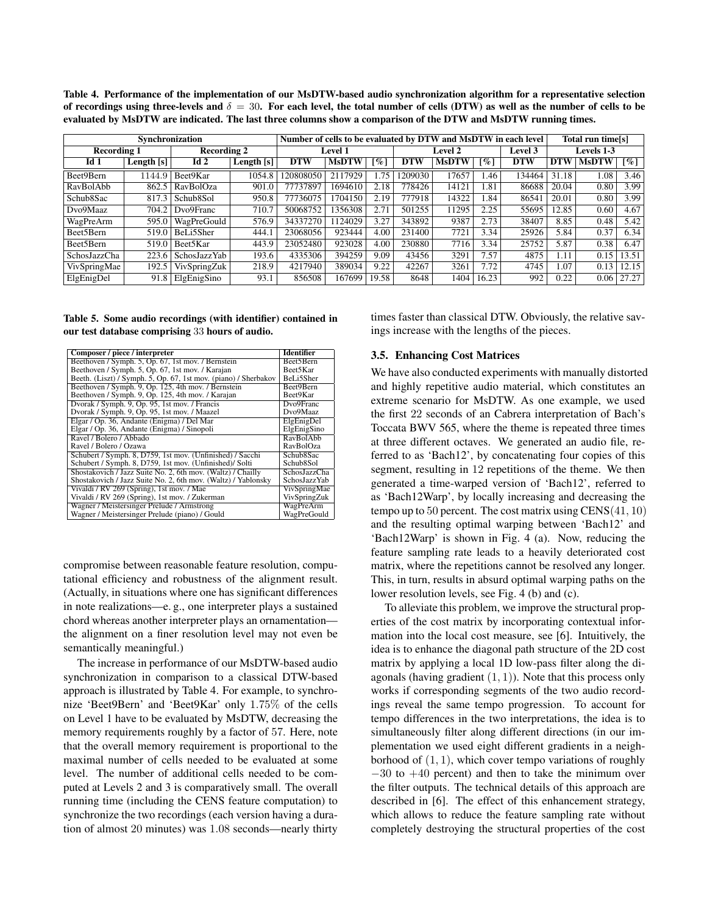**Table 4. Performance of the implementation of our MsDTW-based audio synchronization algorithm for a representative selection** of recordings using three-levels and  $\delta = 30$ . For each level, the total number of cells (DTW) as well as the number of cells to be **evaluated by MsDTW are indicated. The last three columns show a comparison of the DTW and MsDTW running times.**

| Synchronization                          |              |                     |            | Number of cells to be evaluated by DTW and MsDTW in each level |              |       |                |                   |       | Total run time[s] |            |           |                    |
|------------------------------------------|--------------|---------------------|------------|----------------------------------------------------------------|--------------|-------|----------------|-------------------|-------|-------------------|------------|-----------|--------------------|
| <b>Recording 1</b><br><b>Recording 2</b> |              | <b>Level 1</b>      |            | Level 2                                                        |              |       | <b>Level 3</b> | <b>Levels 1-3</b> |       |                   |            |           |                    |
| Id <sub>1</sub>                          | Length $[s]$ | Id2                 | Length [s] | <b>DTW</b>                                                     | <b>MsDTW</b> | [%    | <b>DTW</b>     | <b>MsDTW</b>      | [%]   | <b>DTW</b>        | <b>DTW</b> | MSDTW     | $\lceil \% \rceil$ |
| Beet9Bern                                | 1144.9       | Beet9Kar            | 1054.8     | 20808050                                                       | 2117929      | .75   | 1209030        | 17657             | .46   | 34464             | 31.18      | 1.08      | 3.46               |
| RavBolAbb                                | 862.5        | RavBolOza           | 901.0      | 77737897                                                       | 1694610      | 2.18  | 778426         | 14121             | .81   | 86688             | 20.04      | $_{0.80}$ | 3.99               |
| Schub8Sac                                | 817.3        | Schub8Sol           | 950.8      | 77736075                                                       | 1704150      | 2.19  | 777918         | 14322             | .84   | 86541             | 20.01      | 0.80      | 3.99               |
| Dvo9Maaz                                 | 704.2        | Dvo9Franc           | 710.7      | 50068752                                                       | 1356308      | 2.71  | 501255         | 11295             | 2.25  | 55695             | 12.85      | 0.60      | 4.67               |
| WagPreArm                                | 595.0        | <b>WagPreGould</b>  | 576.9      | 34337270                                                       | 124029       | 3.27  | 343892         | 9387              | 2.73  | 38407             | 8.85       | 0.48      | 5.42               |
| Beet5Bern                                | 519.0        | BeLi5Sher           | 444.1      | 23068056                                                       | 923444       | 4.00  | 231400         | 7721              | 3.34  | 25926             | 5.84       | 0.37      | 6.34               |
| Beet5Bern                                | 519.0        | Beet5Kar            | 443.9      | 23052480                                                       | 923028       | 4.00  | 230880         | 7716              | 3.34  | 25752             | 5.87       | 0.38      | 6.47               |
| SchosJazzCha                             | 223.6        | <b>SchosJazzYab</b> | 193.6      | 4335306                                                        | 394259       | 9.09  | 43456          | 3291              | 7.57  | 4875              | 1.11       | 0.15      | 13.51              |
| VivSpringMae                             | 192.5        | VivSpringZuk        | 218.9      | 4217940                                                        | 389034       | 9.22  | 42267          | 3261              | 7.72  | 4745              | l.07       | 0.13      | 12.15              |
| ElgEnigDel                               | 91.8         | ElgEnigSino         | 93.1       | 856508                                                         | 167699       | 19.58 | 8648           | 1404              | 16.23 | 992               | 0.22       | 0.06      | 27.27              |

**Table 5. Some audio recordings (with identifier) contained in our test database comprising** 33 **hours of audio.**

| Composer / piece / interpreter                                  | Identifier          |  |  |
|-----------------------------------------------------------------|---------------------|--|--|
| Beethoven / Symph. 5, Op. 67, 1st mov. / Bernstein              | Beet5Bern           |  |  |
| Beethoven / Symph. 5, Op. 67, 1st mov. / Karajan                | Beet5Kar            |  |  |
| Beeth. (Liszt) / Symph. 5, Op. 67, 1st mov. (piano) / Sherbakov | BeLi5Sher           |  |  |
| Beethoven / Symph. 9, Op. 125, 4th mov. / Bernstein             | Beet9Bern           |  |  |
| Beethoven / Symph. 9, Op. 125, 4th mov. / Karajan               | Beet9Kar            |  |  |
| Dvorak / Symph. 9, Op. 95, 1st mov. / Francis                   | Dvo9Franc           |  |  |
| Dvorak / Symph. 9, Op. 95, 1st mov. / Maazel                    | Dvo9Maaz            |  |  |
| Elgar / Op. 36, Andante (Enigma) / Del Mar                      | ElgEnigDel          |  |  |
| Elgar / Op. 36, Andante (Enigma) / Sinopoli                     | ElgEnigSino         |  |  |
| Ravel / Bolero / Abbado                                         | RavBolAbb           |  |  |
| Ravel / Bolero / Ozawa                                          | RavBolOza           |  |  |
| Schubert / Symph. 8, D759, 1st mov. (Unfinished) / Sacchi       | Schub8Sac           |  |  |
| Schubert / Symph. 8, D759, 1st mov. (Unfinished)/ Solti         | Schub8Sol           |  |  |
| Shostakovich / Jazz Suite No. 2, 6th mov. (Waltz) / Chailly     | SchosJazzCha        |  |  |
| Shostakovich / Jazz Suite No. 2, 6th mov. (Waltz) / Yablonsky   | <b>SchosJazzYab</b> |  |  |
| Vivaldi / RV 269 (Spring), 1st mov. / Mae                       | VivSpringMae        |  |  |
| Vivaldi / RV 269 (Spring), 1st mov. / Zukerman                  | VivSpringZuk        |  |  |
| Wagner / Meistersinger Prelude / Armstrong                      | WagPreArm           |  |  |
| Wagner / Meistersinger Prelude (piano) / Gould                  | WagPreGould         |  |  |

compromise between reasonable feature resolution, computational efficiency and robustness of the alignment result. (Actually, in situations where one has significant differences in note realizations—e. g., one interpreter plays a sustained chord whereas another interpreter plays an ornamentation the alignment on a finer resolution level may not even be semantically meaningful.)

The increase in performance of our MsDTW-based audio synchronization in comparison to a classical DTW-based approach is illustrated by Table 4. For example, to synchronize 'Beet9Bern' and 'Beet9Kar' only 1.75% of the cells on Level 1 have to be evaluated by MsDTW, decreasing the memory requirements roughly by a factor of 57. Here, note that the overall memory requirement is proportional to the maximal number of cells needed to be evaluated at some level. The number of additional cells needed to be computed at Levels 2 and 3 is comparatively small. The overall running time (including the CENS feature computation) to synchronize the two recordings (each version having a duration of almost 20 minutes) was 1.08 seconds—nearly thirty

times faster than classical DTW. Obviously, the relative savings increase with the lengths of the pieces.

#### **3.5. Enhancing Cost Matrices**

We have also conducted experiments with manually distorted and highly repetitive audio material, which constitutes an extreme scenario for MsDTW. As one example, we used the first 22 seconds of an Cabrera interpretation of Bach's Toccata BWV 565, where the theme is repeated three times at three different octaves. We generated an audio file, referred to as 'Bach12', by concatenating four copies of this segment, resulting in 12 repetitions of the theme. We then generated a time-warped version of 'Bach12', referred to as 'Bach12Warp', by locally increasing and decreasing the tempo up to 50 percent. The cost matrix using  $CENS(41, 10)$ and the resulting optimal warping between 'Bach12' and 'Bach12Warp' is shown in Fig. 4 (a). Now, reducing the feature sampling rate leads to a heavily deteriorated cost matrix, where the repetitions cannot be resolved any longer. This, in turn, results in absurd optimal warping paths on the lower resolution levels, see Fig. 4 (b) and (c).

To alleviate this problem, we improve the structural properties of the cost matrix by incorporating contextual information into the local cost measure, see [6]. Intuitively, the idea is to enhance the diagonal path structure of the 2D cost matrix by applying a local 1D low-pass filter along the diagonals (having gradient  $(1, 1)$ ). Note that this process only works if corresponding segments of the two audio recordings reveal the same tempo progression. To account for tempo differences in the two interpretations, the idea is to simultaneously filter along different directions (in our implementation we used eight different gradients in a neighborhood of  $(1, 1)$ , which cover tempo variations of roughly  $-30$  to  $+40$  percent) and then to take the minimum over the filter outputs. The technical details of this approach are described in [6]. The effect of this enhancement strategy, which allows to reduce the feature sampling rate without completely destroying the structural properties of the cost